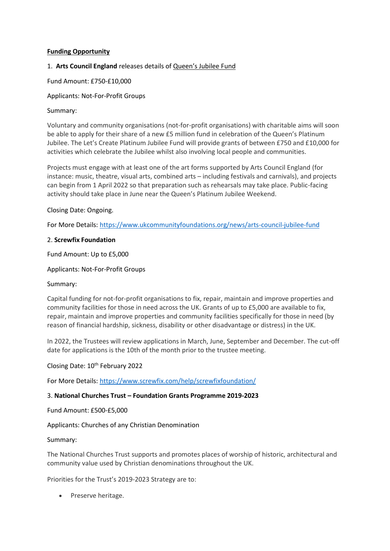# **Funding Opportunity**

# 1. **Arts Council England** releases details of Queen's Jubilee Fund

## Fund Amount: £750-£10,000

# Applicants: Not-For-Profit Groups

## Summary:

Voluntary and community organisations (not-for-profit organisations) with charitable aims will soon be able to apply for their share of a new £5 million fund in celebration of the Queen's Platinum Jubilee. The Let's Create Platinum Jubilee Fund will provide grants of between £750 and £10,000 for activities which celebrate the Jubilee whilst also involving local people and communities.

Projects must engage with at least one of the art forms supported by Arts Council England (for instance: music, theatre, visual arts, combined arts – including festivals and carnivals), and projects can begin from 1 April 2022 so that preparation such as rehearsals may take place. Public-facing activity should take place in June near the Queen's Platinum Jubilee Weekend.

# Closing Date: Ongoing.

For More Details:<https://www.ukcommunityfoundations.org/news/arts-council-jubilee-fund>

### 2. **Screwfix Foundation**

Fund Amount: Up to £5,000

Applicants: Not-For-Profit Groups

### Summary:

Capital funding for not-for-profit organisations to fix, repair, maintain and improve properties and community facilities for those in need across the UK. Grants of up to £5,000 are available to fix, repair, maintain and improve properties and community facilities specifically for those in need (by reason of financial hardship, sickness, disability or other disadvantage or distress) in the UK.

In 2022, the Trustees will review applications in March, June, September and December. The cut-off date for applications is the 10th of the month prior to the trustee meeting.

### Closing Date: 10<sup>th</sup> February 2022

For More Details:<https://www.screwfix.com/help/screwfixfoundation/>

### 3. **National Churches Trust – Foundation Grants Programme 2019-2023**

Fund Amount: £500-£5,000

Applicants: Churches of any Christian Denomination

### Summary:

The National Churches Trust supports and promotes places of worship of historic, architectural and community value used by Christian denominations throughout the UK.

Priorities for the Trust's 2019-2023 Strategy are to:

• Preserve heritage.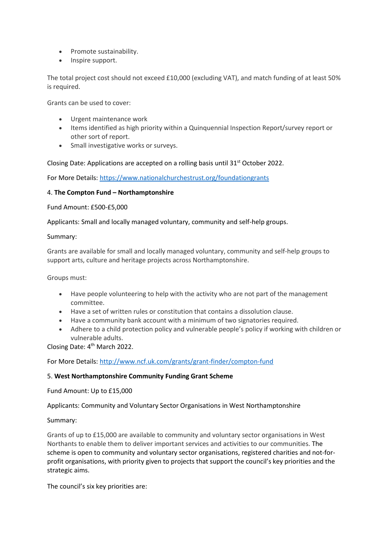- Promote sustainability.
- Inspire support.

The total project cost should not exceed £10,000 (excluding VAT), and match funding of at least 50% is required.

Grants can be used to cover:

- Urgent maintenance work
- Items identified as high priority within a Quinquennial Inspection Report/survey report or other sort of report.
- Small investigative works or surveys.

Closing Date: Applications are accepted on a rolling basis until  $31<sup>st</sup>$  October 2022.

For More Details:<https://www.nationalchurchestrust.org/foundationgrants>

#### 4. **The Compton Fund – Northamptonshire**

Fund Amount: £500-£5,000

Applicants: Small and locally managed voluntary, community and self-help groups.

#### Summary:

Grants are available for small and locally managed voluntary, community and self-help groups to support arts, culture and heritage projects across Northamptonshire.

Groups must:

- Have people volunteering to help with the activity who are not part of the management committee.
- Have a set of written rules or constitution that contains a dissolution clause.
- Have a community bank account with a minimum of two signatories required.
- Adhere to a child protection policy and vulnerable people's policy if working with children or vulnerable adults.

Closing Date: 4<sup>th</sup> March 2022.

For More Details:<http://www.ncf.uk.com/grants/grant-finder/compton-fund>

### 5. **West Northamptonshire Community Funding Grant Scheme**

Fund Amount: Up to £15,000

Applicants: Community and Voluntary Sector Organisations in West Northamptonshire

### Summary:

Grants of up to £15,000 are available to community and voluntary sector organisations in West Northants to enable them to deliver important services and activities to our communities. The scheme is open to community and voluntary sector organisations, registered charities and not-forprofit organisations, with priority given to projects that support the council's key priorities and the strategic aims.

The council's six key priorities are: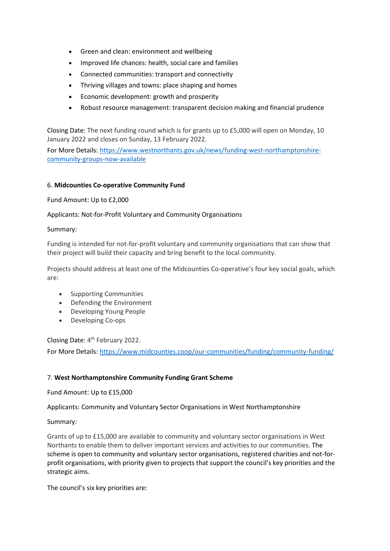- Green and clean: environment and wellbeing
- Improved life chances: health, social care and families
- Connected communities: transport and connectivity
- Thriving villages and towns: place shaping and homes
- Economic development: growth and prosperity
- Robust resource management: transparent decision making and financial prudence

Closing Date: The next funding round which is for grants up to £5,000 will open on Monday, 10 January 2022 and closes on Sunday, 13 February 2022.

For More Details: [https://www.westnorthants.gov.uk/news/funding-west-northamptonshire](https://www.westnorthants.gov.uk/news/funding-west-northamptonshire-community-groups-now-available)[community-groups-now-available](https://www.westnorthants.gov.uk/news/funding-west-northamptonshire-community-groups-now-available)

### 6. **Midcounties Co-operative Community Fund**

Fund Amount: Up to £2,000

### Applicants: Not-for-Profit Voluntary and Community Organisations

#### Summary:

Funding is intended for not-for-profit voluntary and community organisations that can show that their project will build their capacity and bring benefit to the local community.

Projects should address at least one of the Midcounties Co-operative's four key social goals, which are:

- Supporting Communities
- Defending the Environment
- Developing Young People
- Developing Co-ops

Closing Date: 4<sup>th</sup> February 2022.

For More Details:<https://www.midcounties.coop/our-communities/funding/community-funding/>

### 7. **West Northamptonshire Community Funding Grant Scheme**

Fund Amount: Up to £15,000

Applicants: Community and Voluntary Sector Organisations in West Northamptonshire

Summary:

Grants of up to £15,000 are available to community and voluntary sector organisations in West Northants to enable them to deliver important services and activities to our communities. The scheme is open to community and voluntary sector organisations, registered charities and not-forprofit organisations, with priority given to projects that support the council's key priorities and the strategic aims.

The council's six key priorities are: